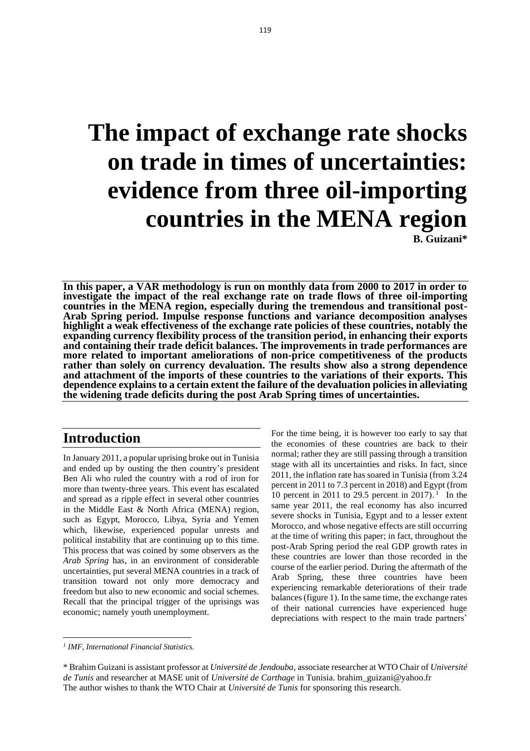# **The impact of exchange rate shocks on trade in times of uncertainties: evidence from three oil-importing countries in the MENA region B. Guizani\***

**In this paper, a VAR methodology is run on monthly data from 2000 to 2017 in order to investigate the impact of the real exchange rate on trade flows of three oil-importing countries in the MENA region, especially during the tremendous and transitional post-Arab Spring period. Impulse response functions and variance decomposition analyses highlight a weak effectiveness of the exchange rate policies of these countries, notably the expanding currency flexibility process of the transition period, in enhancing their exports and containing their trade deficit balances. The improvements in trade performances are more related to important ameliorations of non-price competitiveness of the products rather than solely on currency devaluation. The results show also a strong dependence and attachment of the imports of these countries to the variations of their exports. This dependence explains to a certain extent the failure of the devaluation policies in alleviating the widening trade deficits during the post Arab Spring times of uncertainties.** 

## **Introduction**

In January 2011, a popular uprising broke out in Tunisia and ended up by ousting the then country's president Ben Ali who ruled the country with a rod of iron for more than twenty-three years. This event has escalated and spread as a ripple effect in several other countries in the Middle East & North Africa (MENA) region, such as Egypt, Morocco, Libya, Syria and Yemen which, likewise, experienced popular unrests and political instability that are continuing up to this time. This process that was coined by some observers as the *Arab Spring* has, in an environment of considerable uncertainties, put several MENA countries in a track of transition toward not only more democracy and freedom but also to new economic and social schemes. Recall that the principal trigger of the uprisings was economic; namely youth unemployment.

For the time being, it is however too early to say that the economies of these countries are back to their normal; rather they are still passing through a transition stage with all its uncertainties and risks. In fact, since 2011, the inflation rate has soared in Tunisia (from 3.24 percent in 2011 to 7.3 percent in 2018) and Egypt (from 10 percent in 2011 to 29.5 percent in 2017).<sup>1</sup> In the same year 2011, the real economy has also incurred severe shocks in Tunisia, Egypt and to a lesser extent Morocco, and whose negative effects are still occurring at the time of writing this paper; in fact, throughout the post-Arab Spring period the real GDP growth rates in these countries are lower than those recorded in the course of the earlier period. During the aftermath of the Arab Spring, these three countries have been experiencing remarkable deteriorations of their trade balances(figure 1). In the same time, the exchange rates of their national currencies have experienced huge depreciations with respect to the main trade partners'

*<sup>1</sup> IMF, International Financial Statistics.*

<sup>\*</sup> Brahim Guizani is assistant professor at *Université de Jendouba*, associate researcher at WTO Chair of *Université de Tunis* and researcher at MASE unit of *Université de Carthage* in Tunisia[. brahim\\_guizani@yahoo.fr](mailto:brahim_guizani@yahoo.fr) The author wishes to thank the WTO Chair at *Université de Tunis* for sponsoring this research.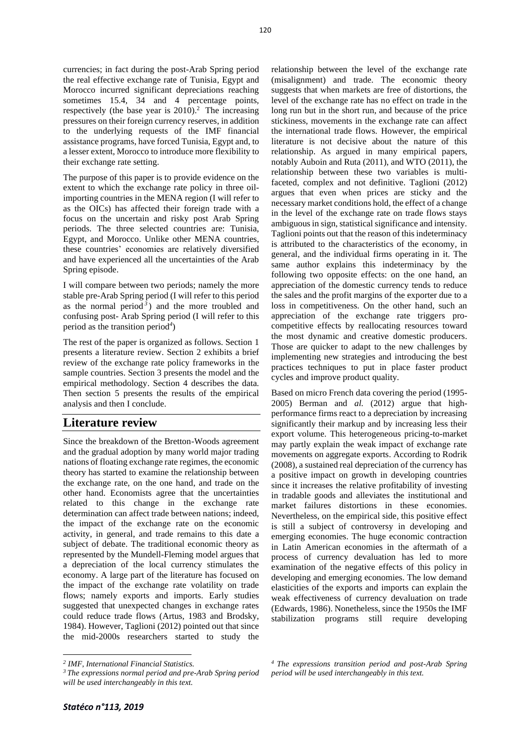currencies; in fact during the post-Arab Spring period the real effective exchange rate of Tunisia, Egypt and Morocco incurred significant depreciations reaching sometimes 15.4, 34 and 4 percentage points, respectively (the base year is  $2010$ ).<sup>2</sup> The increasing pressures on their foreign currency reserves, in addition to the underlying requests of the IMF financial assistance programs, have forced Tunisia, Egypt and, to a lesser extent, Morocco to introduce more flexibility to their exchange rate setting.

The purpose of this paper is to provide evidence on the extent to which the exchange rate policy in three oilimporting countries in the MENA region (I will refer to as the OICs) has affected their foreign trade with a focus on the uncertain and risky post Arab Spring periods. The three selected countries are: Tunisia, Egypt, and Morocco. Unlike other MENA countries, these countries' economies are relatively diversified and have experienced all the uncertainties of the Arab Spring episode.

I will compare between two periods; namely the more stable pre-Arab Spring period (I will refer to this period as the normal period<sup>3</sup>) and the more troubled and confusing post- Arab Spring period (I will refer to this period as the transition period*<sup>4</sup>* )

The rest of the paper is organized as follows. Section 1 presents a literature review. Section 2 exhibits a brief review of the exchange rate policy frameworks in the sample countries. Section 3 presents the model and the empirical methodology. Section 4 describes the data. Then section 5 presents the results of the empirical analysis and then I conclude.

# **Literature review**

Since the breakdown of the Bretton-Woods agreement and the gradual adoption by many world major trading nations of floating exchange rate regimes, the economic theory has started to examine the relationship between the exchange rate, on the one hand, and trade on the other hand. Economists agree that the uncertainties related to this change in the exchange rate determination can affect trade between nations; indeed, the impact of the exchange rate on the economic activity, in general, and trade remains to this date a subject of debate. The traditional economic theory as represented by the Mundell-Fleming model argues that a depreciation of the local currency stimulates the economy. A large part of the literature has focused on the impact of the exchange rate volatility on trade flows; namely exports and imports. Early studies suggested that unexpected changes in exchange rates could reduce trade flows (Artus, 1983 and Brodsky, 1984). However, Taglioni (2012) pointed out that since the mid-2000s researchers started to study the

relationship between the level of the exchange rate (misalignment) and trade. The economic theory suggests that when markets are free of distortions, the level of the exchange rate has no effect on trade in the long run but in the short run, and because of the price stickiness, movements in the exchange rate can affect the international trade flows. However, the empirical literature is not decisive about the nature of this relationship. As argued in many empirical papers, notably Auboin and Ruta (2011), and WTO (2011), the relationship between these two variables is multifaceted, complex and not definitive. Taglioni (2012) argues that even when prices are sticky and the necessary market conditions hold, the effect of a change in the level of the exchange rate on trade flows stays ambiguous in sign, statistical significance and intensity. Taglioni points out that the reason of this indeterminacy is attributed to the characteristics of the economy, in general, and the individual firms operating in it. The same author explains this indeterminacy by the following two opposite effects: on the one hand, an appreciation of the domestic currency tends to reduce the sales and the profit margins of the exporter due to a loss in competitiveness. On the other hand, such an appreciation of the exchange rate triggers procompetitive effects by reallocating resources toward the most dynamic and creative domestic producers. Those are quicker to adapt to the new challenges by implementing new strategies and introducing the best practices techniques to put in place faster product cycles and improve product quality.

Based on micro French data covering the period (1995- 2005) Berman and *al*. (2012) argue that highperformance firms react to a depreciation by increasing significantly their markup and by increasing less their export volume. This heterogeneous pricing-to-market may partly explain the weak impact of exchange rate movements on aggregate exports. According to Rodrik (2008), a sustained real depreciation of the currency has a positive impact on growth in developing countries since it increases the relative profitability of investing in tradable goods and alleviates the institutional and market failures distortions in these economies. Nevertheless, on the empirical side, this positive effect is still a subject of controversy in developing and emerging economies. The huge economic contraction in Latin American economies in the aftermath of a process of currency devaluation has led to more examination of the negative effects of this policy in developing and emerging economies. The low demand elasticities of the exports and imports can explain the weak effectiveness of currency devaluation on trade (Edwards, 1986). Nonetheless, since the 1950s the IMF stabilization programs still require developing

*<sup>2</sup> IMF, International Financial Statistics.*

*<sup>3</sup> The expressions normal period and pre-Arab Spring period will be used interchangeably in this text.*

*<sup>4</sup> The expressions transition period and post-Arab Spring period will be used interchangeably in this text.*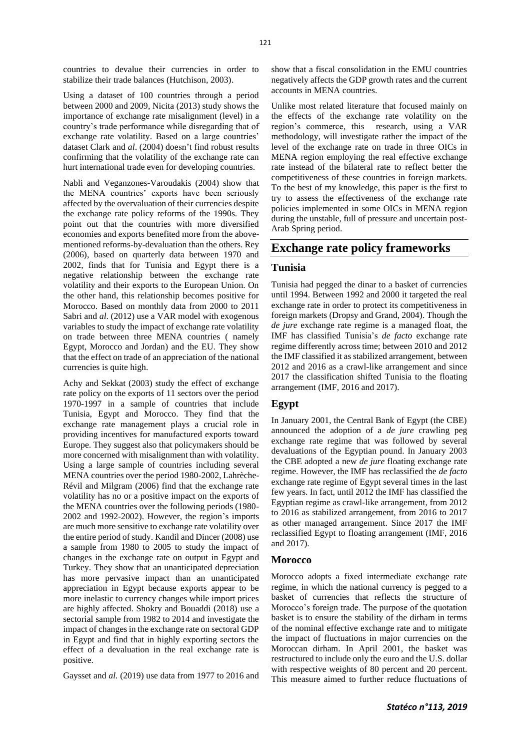countries to devalue their currencies in order to stabilize their trade balances (Hutchison, 2003).

Using a dataset of 100 countries through a period between 2000 and 2009, Nicita (2013) study shows the importance of exchange rate misalignment (level) in a country's trade performance while disregarding that of exchange rate volatility. Based on a large countries' dataset Clark and *al*. (2004) doesn't find robust results confirming that the volatility of the exchange rate can hurt international trade even for developing countries.

Nabli and Veganzones-Varoudakis (2004) show that the MENA countries' exports have been seriously affected by the overvaluation of their currencies despite the exchange rate policy reforms of the 1990s. They point out that the countries with more diversified economies and exports benefited more from the abovementioned reforms-by-devaluation than the others. Rey (2006), based on quarterly data between 1970 and 2002, finds that for Tunisia and Egypt there is a negative relationship between the exchange rate volatility and their exports to the European Union. On the other hand, this relationship becomes positive for Morocco. Based on monthly data from 2000 to 2011 Sabri and *al*. (2012) use a VAR model with exogenous variables to study the impact of exchange rate volatility on trade between three MENA countries ( namely Egypt, Morocco and Jordan) and the EU. They show that the effect on trade of an appreciation of the national currencies is quite high.

Achy and Sekkat (2003) study the effect of exchange rate policy on the exports of 11 sectors over the period 1970-1997 in a sample of countries that include Tunisia, Egypt and Morocco. They find that the exchange rate management plays a crucial role in providing incentives for manufactured exports toward Europe. They suggest also that policymakers should be more concerned with misalignment than with volatility. Using a large sample of countries including several MENA countries over the period 1980-2002, Lahrèche-Révil and Milgram (2006) find that the exchange rate volatility has no or a positive impact on the exports of the MENA countries over the following periods (1980- 2002 and 1992-2002). However, the region's imports are much more sensitive to exchange rate volatility over the entire period of study. Kandil and Dincer (2008) use a sample from 1980 to 2005 to study the impact of changes in the exchange rate on output in Egypt and Turkey. They show that an unanticipated depreciation has more pervasive impact than an unanticipated appreciation in Egypt because exports appear to be more inelastic to currency changes while import prices are highly affected. Shokry and Bouaddi (2018) use a sectorial sample from 1982 to 2014 and investigate the impact of changes in the exchange rate on sectoral GDP in Egypt and find that in highly exporting sectors the effect of a devaluation in the real exchange rate is positive.

Gaysset and *al.* (2019) use data from 1977 to 2016 and

show that a fiscal consolidation in the EMU countries negatively affects the GDP growth rates and the current accounts in MENA countries.

Unlike most related literature that focused mainly on the effects of the exchange rate volatility on the region's commerce, this research, using a VAR methodology, will investigate rather the impact of the level of the exchange rate on trade in three OICs in MENA region employing the real effective exchange rate instead of the bilateral rate to reflect better the competitiveness of these countries in foreign markets. To the best of my knowledge, this paper is the first to try to assess the effectiveness of the exchange rate policies implemented in some OICs in MENA region during the unstable, full of pressure and uncertain post-Arab Spring period.

## **Exchange rate policy frameworks**

#### **Tunisia**

Tunisia had pegged the dinar to a basket of currencies until 1994. Between 1992 and 2000 it targeted the real exchange rate in order to protect its competitiveness in foreign markets (Dropsy and Grand, 2004). Though the *de jure* exchange rate regime is a managed float, the IMF has classified Tunisia's *de facto* exchange rate regime differently across time; between 2010 and 2012 the IMF classified it as stabilized arrangement*,* between 2012 and 2016 as a crawl-like arrangement and since 2017 the classification shifted Tunisia to the floating arrangement (IMF, 2016 and 2017).

#### **Egypt**

In January 2001, the Central Bank of Egypt (the CBE) announced the adoption of a *de jure* crawling peg exchange rate regime that was followed by several devaluations of the Egyptian pound. In January 2003 the CBE adopted a new *de jure* floating exchange rate regime. However, the IMF has reclassified the *de facto* exchange rate regime of Egypt several times in the last few years. In fact, until 2012 the IMF has classified the Egyptian regime as crawl-like arrangement, from 2012 to 2016 as stabilized arrangement, from 2016 to 2017 as other managed arrangement. Since 2017 the IMF reclassified Egypt to floating arrangement (IMF, 2016 and 2017).

#### **Morocco**

Morocco adopts a fixed intermediate exchange rate regime, in which the national currency is pegged to a basket of currencies that reflects the structure of Morocco's foreign trade. The purpose of the quotation basket is to ensure the stability of the dirham in terms of the nominal effective exchange rate and to mitigate the impact of fluctuations in major currencies on the Moroccan dirham. In April 2001, the basket was restructured to include only the euro and the U.S. dollar with respective weights of 80 percent and 20 percent. This measure aimed to further reduce fluctuations of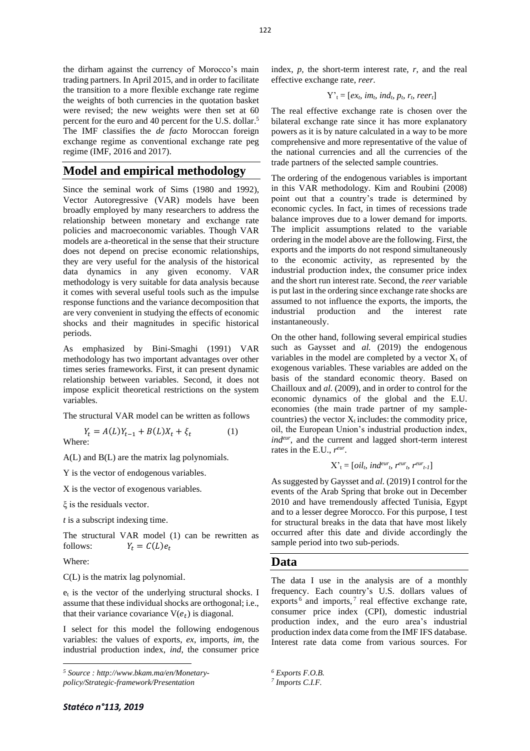the dirham against the currency of Morocco's main trading partners. In April 2015, and in order to facilitate the transition to a more flexible exchange rate regime the weights of both currencies in the quotation basket were revised; the new weights were then set at 60 percent for the euro and 40 percent for the U.S. dollar. 5 The IMF classifies the *de facto* Moroccan foreign exchange regime as conventional exchange rate peg regime (IMF, 2016 and 2017).

### **Model and empirical methodology**

Since the seminal work of Sims (1980 and 1992), Vector Autoregressive (VAR) models have been broadly employed by many researchers to address the relationship between monetary and exchange rate policies and macroeconomic variables. Though VAR models are a-theoretical in the sense that their structure does not depend on precise economic relationships, they are very useful for the analysis of the historical data dynamics in any given economy. VAR methodology is very suitable for data analysis because it comes with several useful tools such as the impulse response functions and the variance decomposition that are very convenient in studying the effects of economic shocks and their magnitudes in specific historical periods.

As emphasized by Bini-Smaghi (1991) VAR methodology has two important advantages over other times series frameworks. First, it can present dynamic relationship between variables. Second, it does not impose explicit theoretical restrictions on the system variables.

The structural VAR model can be written as follows

$$
Y_t = A(L)Y_{t-1} + B(L)X_t + \xi_t \tag{1}
$$
  
Where:

A(L) and B(L) are the matrix lag polynomials.

Y is the vector of endogenous variables.

X is the vector of exogenous variables.

ξ is the residuals vector.

*t* is a subscript indexing time.

The structural VAR model (1) can be rewritten as follows:  $Y_t = C(L)e_t$ 

Where:

C(L) is the matrix lag polynomial.

 $e_t$  is the vector of the underlying structural shocks. I assume that these individual shocks are orthogonal; i.e., that their variance covariance  $V(e_t)$  is diagonal.

I select for this model the following endogenous variables: the values of exports, *ex*, imports, *im*, the industrial production index, *ind*, the consumer price index, *p,* the short-term interest rate, *r*, and the real effective exchange rate, *reer*.

$$
Y'_{t}=[ex_{t}, im_{t}, ind_{t}, p_{t}, r_{t}, reer_{t}]
$$

The real effective exchange rate is chosen over the bilateral exchange rate since it has more explanatory powers as it is by nature calculated in a way to be more comprehensive and more representative of the value of the national currencies and all the currencies of the trade partners of the selected sample countries.

The ordering of the endogenous variables is important in this VAR methodology. Kim and Roubini (2008) point out that a country's trade is determined by economic cycles. In fact, in times of recessions trade balance improves due to a lower demand for imports. The implicit assumptions related to the variable ordering in the model above are the following. First, the exports and the imports do not respond simultaneously to the economic activity, as represented by the industrial production index, the consumer price index and the short run interest rate. Second, the *reer* variable is put last in the ordering since exchange rate shocks are assumed to not influence the exports, the imports, the industrial production and the interest rate instantaneously.

On the other hand, following several empirical studies such as Gaysset and *al.* (2019) the endogenous variables in the model are completed by a vector  $X_t$  of exogenous variables. These variables are added on the basis of the standard economic theory. Based on Chailloux and *al.* (2009), and in order to control for the economic dynamics of the global and the E.U. economies (the main trade partner of my samplecountries) the vector  $X_t$  includes: the commodity price, oil, the European Union's industrial production index, *indeur*, and the current and lagged short-term interest rates in the E.U.,  $r^{eur}$ .

$$
X'_{t} = [oil_{t}, ind^{eur}_{t}, r^{eur}_{t}, r^{eur}_{t-1}]
$$

As suggested by Gaysset and *al.* (2019) I control for the events of the Arab Spring that broke out in December 2010 and have tremendously affected Tunisia, Egypt and to a lesser degree Morocco. For this purpose, I test for structural breaks in the data that have most likely occurred after this date and divide accordingly the sample period into two sub-periods.

#### **Data**

The data I use in the analysis are of a monthly frequency. Each country's U.S. dollars values of exports<sup>6</sup> and imports,<sup>7</sup> real effective exchange rate, consumer price index (CPI), domestic industrial production index, and the euro area's industrial production index data come from the IMF IFS database. Interest rate data come from various sources. For

*<sup>5</sup> Source : http://www.bkam.ma/en/Monetary-*

*policy/Strategic-framework/Presentation*

*<sup>6</sup> Exports F.O.B.*

*<sup>7</sup> Imports C.I.F.*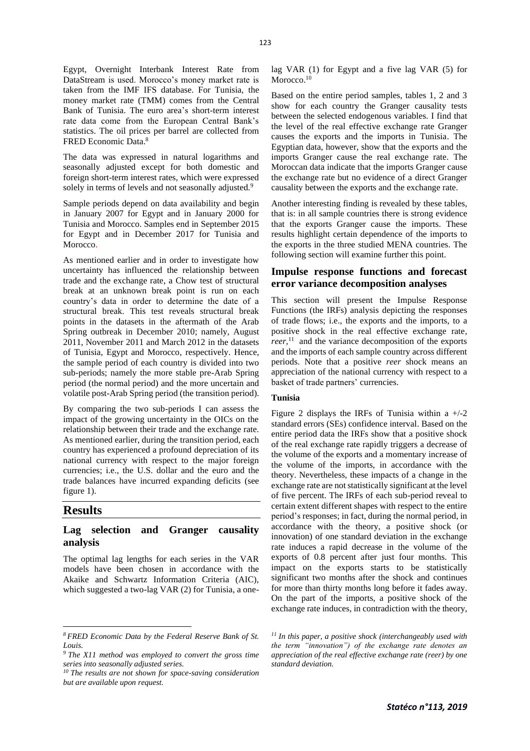Egypt, Overnight Interbank Interest Rate from DataStream is used. Morocco's money market rate is taken from the IMF IFS database. For Tunisia, the money market rate (TMM) comes from the Central Bank of Tunisia. The euro area's short-term interest rate data come from the European Central Bank's statistics. The oil prices per barrel are collected from FRED Economic Data. 8

The data was expressed in natural logarithms and seasonally adjusted except for both domestic and foreign short-term interest rates, which were expressed solely in terms of levels and not seasonally adjusted.<sup>9</sup>

Sample periods depend on data availability and begin in January 2007 for Egypt and in January 2000 for Tunisia and Morocco. Samples end in September 2015 for Egypt and in December 2017 for Tunisia and Morocco.

As mentioned earlier and in order to investigate how uncertainty has influenced the relationship between trade and the exchange rate, a Chow test of structural break at an unknown break point is run on each country's data in order to determine the date of a structural break. This test reveals structural break points in the datasets in the aftermath of the Arab Spring outbreak in December 2010; namely, August 2011, November 2011 and March 2012 in the datasets of Tunisia, Egypt and Morocco, respectively. Hence, the sample period of each country is divided into two sub-periods; namely the more stable pre-Arab Spring period (the normal period) and the more uncertain and volatile post-Arab Spring period (the transition period).

By comparing the two sub-periods I can assess the impact of the growing uncertainty in the OICs on the relationship between their trade and the exchange rate. As mentioned earlier, during the transition period, each country has experienced a profound depreciation of its national currency with respect to the major foreign currencies; i.e., the U.S. dollar and the euro and the trade balances have incurred expanding deficits (see figure 1).

## **Results**

#### **Lag selection and Granger causality analysis**

The optimal lag lengths for each series in the VAR models have been chosen in accordance with the Akaike and Schwartz Information Criteria (AIC), which suggested a two-lag VAR (2) for Tunisia, a onelag VAR (1) for Egypt and a five lag VAR (5) for Morocco.<sup>10</sup>

Based on the entire period samples, tables 1, 2 and 3 show for each country the Granger causality tests between the selected endogenous variables. I find that the level of the real effective exchange rate Granger causes the exports and the imports in Tunisia. The Egyptian data, however, show that the exports and the imports Granger cause the real exchange rate. The Moroccan data indicate that the imports Granger cause the exchange rate but no evidence of a direct Granger causality between the exports and the exchange rate.

Another interesting finding is revealed by these tables, that is: in all sample countries there is strong evidence that the exports Granger cause the imports. These results highlight certain dependence of the imports to the exports in the three studied MENA countries. The following section will examine further this point.

#### **Impulse response functions and forecast error variance decomposition analyses**

This section will present the Impulse Response Functions (the IRFs) analysis depicting the responses of trade flows; i.e., the exports and the imports, to a positive shock in the real effective exchange rate, *reer,* <sup>11</sup> and the variance decomposition of the exports and the imports of each sample country across different periods. Note that a positive *reer* shock means an appreciation of the national currency with respect to a basket of trade partners' currencies.

#### **Tunisia**

Figure 2 displays the IRFs of Tunisia within a  $+/-2$ standard errors (SEs) confidence interval. Based on the entire period data the IRFs show that a positive shock of the real exchange rate rapidly triggers a decrease of the volume of the exports and a momentary increase of the volume of the imports, in accordance with the theory. Nevertheless, these impacts of a change in the exchange rate are not statistically significant at the level of five percent. The IRFs of each sub-period reveal to certain extent different shapes with respect to the entire period's responses; in fact, during the normal period, in accordance with the theory, a positive shock (or innovation) of one standard deviation in the exchange rate induces a rapid decrease in the volume of the exports of 0.8 percent after just four months. This impact on the exports starts to be statistically significant two months after the shock and continues for more than thirty months long before it fades away. On the part of the imports, a positive shock of the exchange rate induces, in contradiction with the theory,

*<sup>8</sup> FRED Economic Data by the Federal Reserve Bank of St. Louis.*

*<sup>9</sup> The X11 method was employed to convert the gross time series into seasonally adjusted series.*

*<sup>10</sup> The results are not shown for space-saving consideration but are available upon request.*

*<sup>11</sup> In this paper, a positive shock (interchangeably used with the term "innovation") of the exchange rate denotes an appreciation of the real effective exchange rate (reer) by one standard deviation.*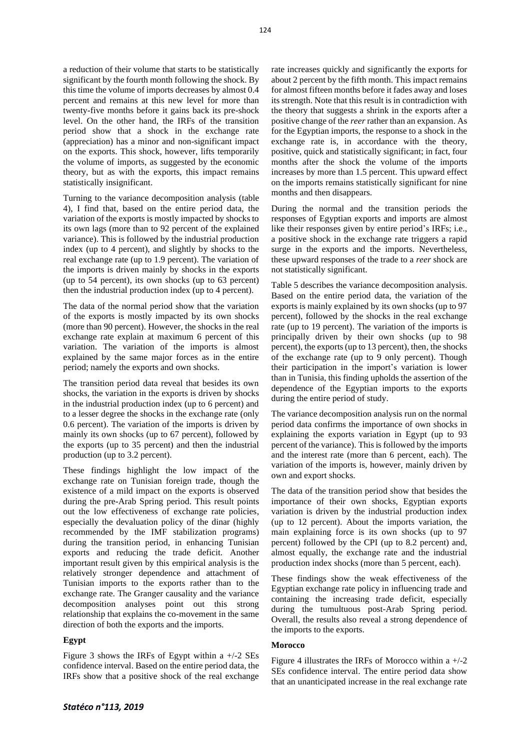a reduction of their volume that starts to be statistically significant by the fourth month following the shock. By this time the volume of imports decreases by almost 0.4 percent and remains at this new level for more than twenty-five months before it gains back its pre-shock level. On the other hand, the IRFs of the transition period show that a shock in the exchange rate (appreciation) has a minor and non-significant impact on the exports. This shock, however, lifts temporarily the volume of imports, as suggested by the economic theory, but as with the exports, this impact remains statistically insignificant.

Turning to the variance decomposition analysis (table 4), I find that, based on the entire period data, the variation of the exports is mostly impacted by shocks to its own lags (more than to 92 percent of the explained variance). This is followed by the industrial production index (up to 4 percent), and slightly by shocks to the real exchange rate (up to 1.9 percent). The variation of the imports is driven mainly by shocks in the exports (up to 54 percent), its own shocks (up to 63 percent) then the industrial production index (up to 4 percent).

The data of the normal period show that the variation of the exports is mostly impacted by its own shocks (more than 90 percent). However, the shocks in the real exchange rate explain at maximum 6 percent of this variation. The variation of the imports is almost explained by the same major forces as in the entire period; namely the exports and own shocks.

The transition period data reveal that besides its own shocks, the variation in the exports is driven by shocks in the industrial production index (up to 6 percent) and to a lesser degree the shocks in the exchange rate (only 0.6 percent). The variation of the imports is driven by mainly its own shocks (up to 67 percent), followed by the exports (up to 35 percent) and then the industrial production (up to 3.2 percent).

These findings highlight the low impact of the exchange rate on Tunisian foreign trade, though the existence of a mild impact on the exports is observed during the pre-Arab Spring period. This result points out the low effectiveness of exchange rate policies, especially the devaluation policy of the dinar (highly recommended by the IMF stabilization programs) during the transition period, in enhancing Tunisian exports and reducing the trade deficit. Another important result given by this empirical analysis is the relatively stronger dependence and attachment of Tunisian imports to the exports rather than to the exchange rate. The Granger causality and the variance decomposition analyses point out this strong relationship that explains the co-movement in the same direction of both the exports and the imports.

#### **Egypt**

Figure 3 shows the IRFs of Egypt within a  $+/-2$  SEs confidence interval. Based on the entire period data, the IRFs show that a positive shock of the real exchange

rate increases quickly and significantly the exports for about 2 percent by the fifth month. This impact remains for almost fifteen months before it fades away and loses its strength. Note that this result is in contradiction with the theory that suggests a shrink in the exports after a positive change of the *reer* rather than an expansion. As for the Egyptian imports, the response to a shock in the exchange rate is, in accordance with the theory, positive, quick and statistically significant; in fact, four months after the shock the volume of the imports increases by more than 1.5 percent. This upward effect on the imports remains statistically significant for nine months and then disappears.

During the normal and the transition periods the responses of Egyptian exports and imports are almost like their responses given by entire period's IRFs; i.e., a positive shock in the exchange rate triggers a rapid surge in the exports and the imports. Nevertheless, these upward responses of the trade to a *reer* shock are not statistically significant.

Table 5 describes the variance decomposition analysis. Based on the entire period data, the variation of the exports is mainly explained by its own shocks (up to 97 percent), followed by the shocks in the real exchange rate (up to 19 percent). The variation of the imports is principally driven by their own shocks (up to 98 percent), the exports (up to 13 percent), then, the shocks of the exchange rate (up to 9 only percent). Though their participation in the import's variation is lower than in Tunisia, this finding upholds the assertion of the dependence of the Egyptian imports to the exports during the entire period of study.

The variance decomposition analysis run on the normal period data confirms the importance of own shocks in explaining the exports variation in Egypt (up to 93 percent of the variance). This is followed by the imports and the interest rate (more than 6 percent, each). The variation of the imports is, however, mainly driven by own and export shocks.

The data of the transition period show that besides the importance of their own shocks, Egyptian exports variation is driven by the industrial production index (up to 12 percent). About the imports variation, the main explaining force is its own shocks (up to 97 percent) followed by the CPI (up to 8.2 percent) and, almost equally, the exchange rate and the industrial production index shocks (more than 5 percent, each).

These findings show the weak effectiveness of the Egyptian exchange rate policy in influencing trade and containing the increasing trade deficit, especially during the tumultuous post-Arab Spring period. Overall, the results also reveal a strong dependence of the imports to the exports.

#### **Morocco**

Figure 4 illustrates the IRFs of Morocco within a  $+/-2$ SEs confidence interval. The entire period data show that an unanticipated increase in the real exchange rate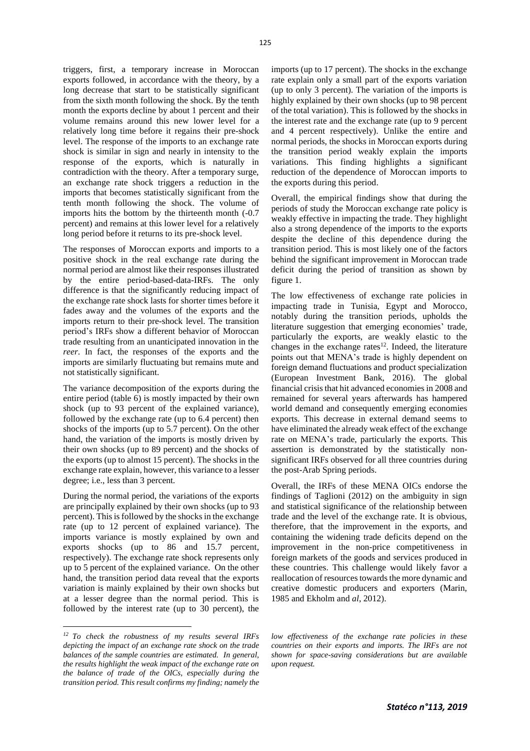triggers, first, a temporary increase in Moroccan exports followed, in accordance with the theory, by a long decrease that start to be statistically significant from the sixth month following the shock. By the tenth month the exports decline by about 1 percent and their volume remains around this new lower level for a relatively long time before it regains their pre-shock level. The response of the imports to an exchange rate shock is similar in sign and nearly in intensity to the response of the exports, which is naturally in contradiction with the theory. After a temporary surge, an exchange rate shock triggers a reduction in the imports that becomes statistically significant from the tenth month following the shock. The volume of imports hits the bottom by the thirteenth month (-0.7 percent) and remains at this lower level for a relatively long period before it returns to its pre-shock level.

The responses of Moroccan exports and imports to a positive shock in the real exchange rate during the normal period are almost like their responses illustrated by the entire period-based-data-IRFs. The only difference is that the significantly reducing impact of the exchange rate shock lasts for shorter times before it fades away and the volumes of the exports and the imports return to their pre-shock level. The transition period's IRFs show a different behavior of Moroccan trade resulting from an unanticipated innovation in the *reer*. In fact, the responses of the exports and the imports are similarly fluctuating but remains mute and not statistically significant.

The variance decomposition of the exports during the entire period (table 6) is mostly impacted by their own shock (up to 93 percent of the explained variance), followed by the exchange rate (up to 6.4 percent) then shocks of the imports (up to 5.7 percent). On the other hand, the variation of the imports is mostly driven by their own shocks (up to 89 percent) and the shocks of the exports (up to almost 15 percent). The shocks in the exchange rate explain, however, this variance to a lesser degree; i.e., less than 3 percent.

During the normal period, the variations of the exports are principally explained by their own shocks (up to 93 percent). This is followed by the shocks in the exchange rate (up to 12 percent of explained variance). The imports variance is mostly explained by own and exports shocks (up to 86 and 15.7 percent, respectively). The exchange rate shock represents only up to 5 percent of the explained variance. On the other hand, the transition period data reveal that the exports variation is mainly explained by their own shocks but at a lesser degree than the normal period. This is followed by the interest rate (up to 30 percent), the

imports (up to 17 percent). The shocks in the exchange rate explain only a small part of the exports variation (up to only 3 percent). The variation of the imports is highly explained by their own shocks (up to 98 percent of the total variation). This is followed by the shocks in the interest rate and the exchange rate (up to 9 percent and 4 percent respectively). Unlike the entire and normal periods, the shocks in Moroccan exports during the transition period weakly explain the imports variations. This finding highlights a significant reduction of the dependence of Moroccan imports to the exports during this period.

Overall, the empirical findings show that during the periods of study the Moroccan exchange rate policy is weakly effective in impacting the trade. They highlight also a strong dependence of the imports to the exports despite the decline of this dependence during the transition period. This is most likely one of the factors behind the significant improvement in Moroccan trade deficit during the period of transition as shown by figure 1.

The low effectiveness of exchange rate policies in impacting trade in Tunisia, Egypt and Morocco, notably during the transition periods, upholds the literature suggestion that emerging economies' trade, particularly the exports, are weakly elastic to the changes in the exchange rates $12$ . Indeed, the literature points out that MENA's trade is highly dependent on foreign demand fluctuations and product specialization (European Investment Bank, 2016). The global financial crisis that hit advanced economies in 2008 and remained for several years afterwards has hampered world demand and consequently emerging economies exports. This decrease in external demand seems to have eliminated the already weak effect of the exchange rate on MENA's trade, particularly the exports. This assertion is demonstrated by the statistically nonsignificant IRFs observed for all three countries during the post-Arab Spring periods.

Overall, the IRFs of these MENA OICs endorse the findings of Taglioni (2012) on the ambiguity in sign and statistical significance of the relationship between trade and the level of the exchange rate. It is obvious, therefore, that the improvement in the exports, and containing the widening trade deficits depend on the improvement in the non-price competitiveness in foreign markets of the goods and services produced in these countries. This challenge would likely favor a reallocation of resources towards the more dynamic and creative domestic producers and exporters (Marin, 1985 and Ekholm and *al*, 2012).

*low effectiveness of the exchange rate policies in these countries on their exports and imports. The IRFs are not shown for space-saving considerations but are available* 

*upon request.*

*<sup>12</sup> To check the robustness of my results several IRFs depicting the impact of an exchange rate shock on the trade balances of the sample countries are estimated. In general, the results highlight the weak impact of the exchange rate on the balance of trade of the OICs, especially during the transition period. This result confirms my finding; namely the*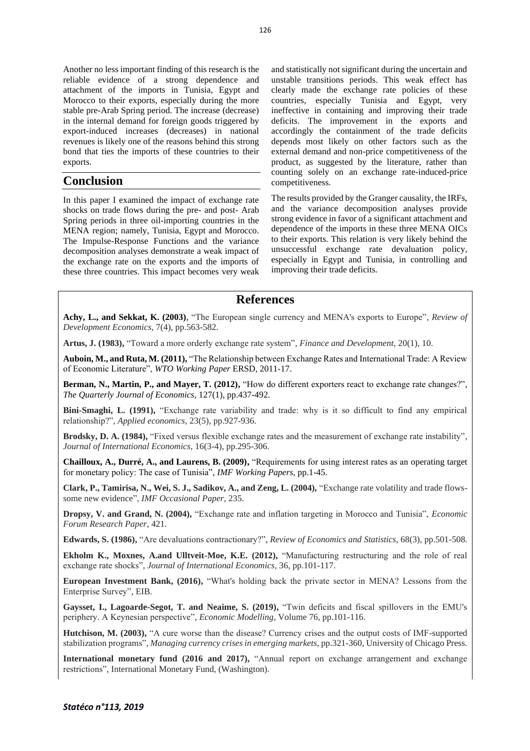Another no less important finding of this research is the reliable evidence of a strong dependence and attachment of the imports in Tunisia, Egypt and Morocco to their exports, especially during the more stable pre-Arab Spring period. The increase (decrease) in the internal demand for foreign goods triggered by export-induced increases (decreases) in national revenues is likely one of the reasons behind this strong bond that ties the imports of these countries to their exports.

## **Conclusion**

In this paper I examined the impact of exchange rate shocks on trade flows during the pre- and post- Arab Spring periods in three oil-importing countries in the MENA region; namely, Tunisia, Egypt and Morocco. The Impulse-Response Functions and the variance decomposition analyses demonstrate a weak impact of the exchange rate on the exports and the imports of these three countries. This impact becomes very weak

and statistically not significant during the uncertain and unstable transitions periods. This weak effect has clearly made the exchange rate policies of these countries, especially Tunisia and Egypt, very ineffective in containing and improving their trade deficits. The improvement in the exports and accordingly the containment of the trade deficits depends most likely on other factors such as the external demand and non-price competitiveness of the product, as suggested by the literature, rather than counting solely on an exchange rate-induced-price competitiveness.

The results provided by the Granger causality, the IRFs, and the variance decomposition analyses provide strong evidence in favor of a significant attachment and dependence of the imports in these three MENA OICs to their exports. This relation is very likely behind the unsuccessful exchange rate devaluation policy, especially in Egypt and Tunisia, in controlling and improving their trade deficits.

## **References**

**Achy, L., and Sekkat, K. (2003)**, "The European single currency and MENA's exports to Europe", *Review of Development Economics*, 7(4), pp.563-582.

**Artus, J. (1983),** "Toward a more orderly exchange rate system", *Finance and Development*, 20(1), 10.

**Auboin, M., and Ruta, M. (2011),** "The Relationship between Exchange Rates and International Trade: A Review of Economic Literature", *WTO Working Paper* ERSD, 2011-17.

**Berman, N., Martin, P., and Mayer, T. (2012),** "How do different exporters react to exchange rate changes?", *The Quarterly Journal of Economics*, 127(1), pp.437-492.

**Bini-Smaghi, L. (1991),** "Exchange rate variability and trade: why is it so difficult to find any empirical relationship?", *Applied economics*, 23(5), pp.927-936.

**Brodsky, D. A. (1984),** "Fixed versus flexible exchange rates and the measurement of exchange rate instability", *Journal of International Economics*, 16(3-4), pp.295-306.

**Chailloux, A., Durré, A., and Laurens, B. (2009),** "Requirements for using interest rates as an operating target for monetary policy: The case of Tunisia", *IMF Working Papers,* pp.1-45.

**Clark, P., Tamirisa, N., Wei, S. J., Sadikov, A., and Zeng, L. (2004),** "Exchange rate volatility and trade flowssome new evidence", *IMF Occasional Paper*, 235.

**Dropsy, V. and Grand, N. (2004),** "Exchange rate and inflation targeting in Morocco and Tunisia", *Economic Forum Research Paper*, 421.

**Edwards, S. (1986),** "Are devaluations contractionary?", *Review of Economics and Statistics*, 68(3), pp.501-508.

**Ekholm K., Moxnes, A.and Ulltveit-Moe, K.E. (2012),** "Manufacturing restructuring and the role of real exchange rate shocks", *Journal of International Economics,* 36, pp.101-117.

**European Investment Bank, (2016),** "What's holding back the private sector in MENA? Lessons from the Enterprise Survey", EIB.

**Gaysset, I., Lagoarde-Segot, T. and Neaime, S. (2019),** "Twin deficits and fiscal spillovers in the EMU's periphery. A Keynesian perspective", *Economic Modelling,* Volume 76, pp.101-116.

**Hutchison, M. (2003),** "A cure worse than the disease? Currency crises and the output costs of IMF-supported stabilization programs", *Managing currency crises in emerging markets,* pp.321-360, University of Chicago Press.

**International monetary fund (2016 and 2017),** "Annual report on exchange arrangement and exchange restrictions", International Monetary Fund, (Washington).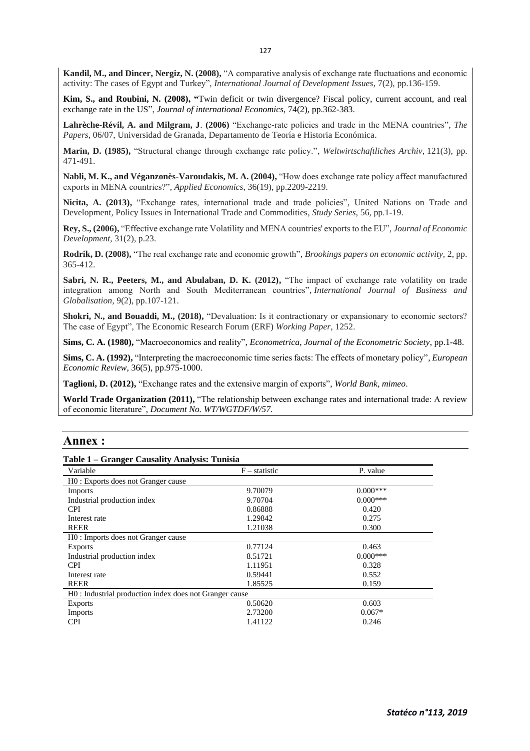**Kandil, M., and Dincer, Nergiz, N. (2008),** "A comparative analysis of exchange rate fluctuations and economic activity: The cases of Egypt and Turkey", *International Journal of Development Issues*, 7(2), pp.136-159.

**Kim, S., and Roubini, N. (2008), "**Twin deficit or twin divergence? Fiscal policy, current account, and real exchange rate in the US", *Journal of international Economics*, 74(2), pp.362-383.

**Lahrèche-Révil, A. and Milgram, J**. **(2006)** "Exchange-rate policies and trade in the MENA countries", *The Papers,* 06/07, Universidad de Granada, Departamento de Teoría e Historia Económica.

**Marin, D. (1985),** "Structural change through exchange rate policy.", *Weltwirtschaftliches Archiv*, 121(3), pp. 471-491.

Nabli, M. K., and Véganzonès-Varoudakis, M. A. (2004), "How does exchange rate policy affect manufactured exports in MENA countries?", *Applied Economics*, 36(19), pp.2209-2219.

**Nicita, A. (2013),** "Exchange rates, international trade and trade policies", United Nations on Trade and Development, Policy Issues in International Trade and Commodities*, Study Series,* 56, pp.1-19.

**Rey, S., (2006),** "Effective exchange rate Volatility and MENA countries' exports to the EU", *Journal of Economic Development*, 31(2), p.23.

**Rodrik, D. (2008),** "The real exchange rate and economic growth", *Brookings papers on economic activity,* 2, pp. 365-412.

**Sabri, N. R., Peeters, M., and Abulaban, D. K. (2012),** "The impact of exchange rate volatility on trade integration among North and South Mediterranean countries", *International Journal of Business and Globalisation*, 9(2), pp.107-121.

**Shokri, N., and Bouaddi, M., (2018),** "Devaluation: Is it contractionary or expansionary to economic sectors? The case of Egypt", The Economic Research Forum (ERF) *Working Paper,* 1252.

**Sims, C. A. (1980),** "Macroeconomics and reality", *Econometrica*, *Journal of the Econometric Society*, pp.1-48.

**Sims, C. A. (1992),** "Interpreting the macroeconomic time series facts: The effects of monetary policy", *European Economic Review*, 36(5), pp.975-1000.

**Taglioni, D. (2012),** "Exchange rates and the extensive margin of exports", *World Bank, mimeo*.

**World Trade Organization (2011),** "The relationship between exchange rates and international trade: A review of economic literature", *Document No. WT/WGTDF/W/57.*

#### **Annex :**

#### **Table 1 – Granger Causality Analysis: Tunisia**

| Variable                                                | $F -$ statistic | P. value   |
|---------------------------------------------------------|-----------------|------------|
| H0 : Exports does not Granger cause                     |                 |            |
| Imports                                                 | 9.70079         | $0.000***$ |
| Industrial production index                             | 9.70704         | $0.000***$ |
| <b>CPI</b>                                              | 0.86888         | 0.420      |
| Interest rate                                           | 1.29842         | 0.275      |
| <b>REER</b>                                             | 1.21038         | 0.300      |
| H0 : Imports does not Granger cause                     |                 |            |
| <b>Exports</b>                                          | 0.77124         | 0.463      |
| Industrial production index                             | 8.51721         | $0.000***$ |
| <b>CPI</b>                                              | 1.11951         | 0.328      |
| Interest rate                                           | 0.59441         | 0.552      |
| <b>REER</b>                                             | 1.85525         | 0.159      |
| H0 : Industrial production index does not Granger cause |                 |            |
| <b>Exports</b>                                          | 0.50620         | 0.603      |
| <b>Imports</b>                                          | 2.73200         | $0.067*$   |
| <b>CPI</b>                                              | 1.41122         | 0.246      |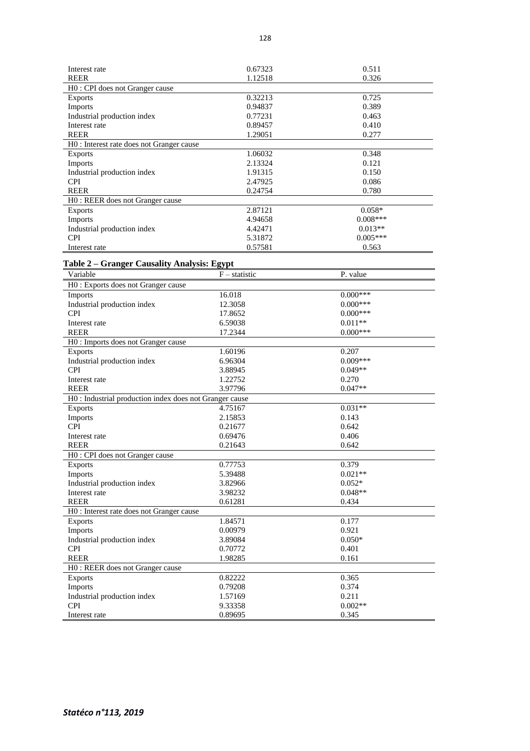| Interest rate                             | 0.67323 | 0.511      |
|-------------------------------------------|---------|------------|
| <b>REER</b>                               | 1.12518 | 0.326      |
| H0: CPI does not Granger cause            |         |            |
| <b>Exports</b>                            | 0.32213 | 0.725      |
| Imports                                   | 0.94837 | 0.389      |
| Industrial production index               | 0.77231 | 0.463      |
| Interest rate                             | 0.89457 | 0.410      |
| <b>REER</b>                               | 1.29051 | 0.277      |
| H0 : Interest rate does not Granger cause |         |            |
| <b>Exports</b>                            | 1.06032 | 0.348      |
| <b>Imports</b>                            | 2.13324 | 0.121      |
| Industrial production index               | 1.91315 | 0.150      |
| <b>CPI</b>                                | 2.47925 | 0.086      |
| <b>REER</b>                               | 0.24754 | 0.780      |
| H0 : REER does not Granger cause          |         |            |
| <b>Exports</b>                            | 2.87121 | $0.058*$   |
| Imports                                   | 4.94658 | $0.008***$ |
| Industrial production index               | 4.42471 | $0.013**$  |
| <b>CPI</b>                                | 5.31872 | $0.005***$ |
| Interest rate                             | 0.57581 | 0.563      |

#### **Table 2 – Granger Causality Analysis: Egypt**

| Variable                                                | $F -$ statistic | P. value   |
|---------------------------------------------------------|-----------------|------------|
| H0 : Exports does not Granger cause                     |                 |            |
| Imports                                                 | 16.018          | $0.000***$ |
| Industrial production index                             | 12.3058         | $0.000***$ |
| <b>CPI</b>                                              | 17.8652         | $0.000***$ |
| Interest rate                                           | 6.59038         | $0.011**$  |
| <b>REER</b>                                             | 17.2344         | $0.000***$ |
| H0 : Imports does not Granger cause                     |                 |            |
| <b>Exports</b>                                          | 1.60196         | 0.207      |
| Industrial production index                             | 6.96304         | $0.009***$ |
| <b>CPI</b>                                              | 3.88945         | $0.049**$  |
| Interest rate                                           | 1.22752         | 0.270      |
| <b>REER</b>                                             | 3.97796         | $0.047**$  |
| H0 : Industrial production index does not Granger cause |                 |            |
| <b>Exports</b>                                          | 4.75167         | $0.031**$  |
| Imports                                                 | 2.15853         | 0.143      |
| <b>CPI</b>                                              | 0.21677         | 0.642      |
| Interest rate                                           | 0.69476         | 0.406      |
| <b>REER</b>                                             | 0.21643         | 0.642      |
| H0: CPI does not Granger cause                          |                 |            |
| <b>Exports</b>                                          | 0.77753         | 0.379      |
| Imports                                                 | 5.39488         | $0.021**$  |
| Industrial production index                             | 3.82966         | $0.052*$   |
| Interest rate                                           | 3.98232         | $0.048**$  |
| <b>REER</b>                                             | 0.61281         | 0.434      |
| H0 : Interest rate does not Granger cause               |                 |            |
| Exports                                                 | 1.84571         | 0.177      |
| Imports                                                 | 0.00979         | 0.921      |
| Industrial production index                             | 3.89084         | $0.050*$   |
| <b>CPI</b>                                              | 0.70772         | 0.401      |
| <b>REER</b>                                             | 1.98285         | 0.161      |
| H0: REER does not Granger cause                         |                 |            |
| <b>Exports</b>                                          | 0.82222         | 0.365      |
| Imports                                                 | 0.79208         | 0.374      |
| Industrial production index                             | 1.57169         | 0.211      |
| <b>CPI</b>                                              | 9.33358         | $0.002**$  |
| Interest rate                                           | 0.89695         | 0.345      |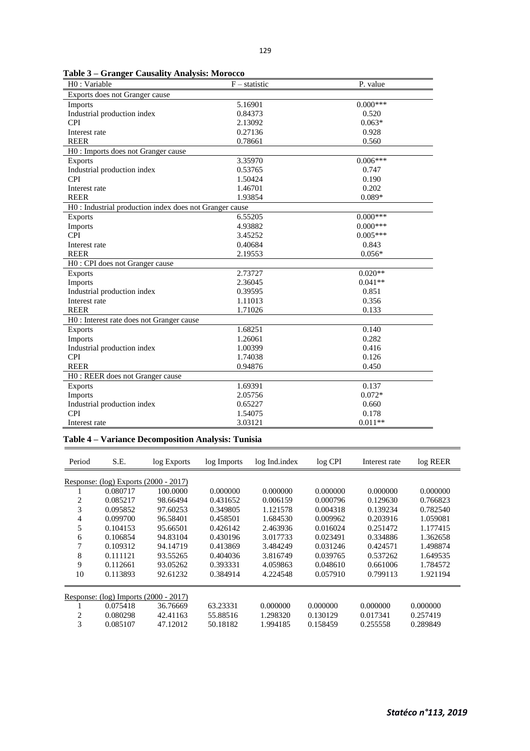|  | Table 3 – Granger Causality Analysis: Morocco |
|--|-----------------------------------------------|
|  |                                               |

| H0: Variable                                            | $F -$ statistic | P. value   |
|---------------------------------------------------------|-----------------|------------|
| Exports does not Granger cause                          |                 |            |
| <b>Imports</b>                                          | 5.16901         | $0.000***$ |
| Industrial production index                             | 0.84373         | 0.520      |
| <b>CPI</b>                                              | 2.13092         | $0.063*$   |
| Interest rate                                           | 0.27136         | 0.928      |
| <b>REER</b>                                             | 0.78661         | 0.560      |
| H0 : Imports does not Granger cause                     |                 |            |
| <b>Exports</b>                                          | 3.35970         | $0.006***$ |
| Industrial production index                             | 0.53765         | 0.747      |
| <b>CPI</b>                                              | 1.50424         | 0.190      |
| Interest rate                                           | 1.46701         | 0.202      |
| <b>REER</b>                                             | 1.93854         | $0.089*$   |
| H0 : Industrial production index does not Granger cause |                 |            |
| Exports                                                 | 6.55205         | $0.000***$ |
| Imports                                                 | 4.93882         | $0.000***$ |
| <b>CPI</b>                                              | 3.45252         | $0.005***$ |
| Interest rate                                           | 0.40684         | 0.843      |
| <b>REER</b>                                             | 2.19553         | $0.056*$   |
| H0 : CPI does not Granger cause                         |                 |            |
| Exports                                                 | 2.73727         | $0.020**$  |
| Imports                                                 | 2.36045         | $0.041**$  |
| Industrial production index                             | 0.39595         | 0.851      |
| Interest rate                                           | 1.11013         | 0.356      |
| <b>REER</b>                                             | 1.71026         | 0.133      |
| H0 : Interest rate does not Granger cause               |                 |            |
| Exports                                                 | 1.68251         | 0.140      |
| Imports                                                 | 1.26061         | 0.282      |
| Industrial production index                             | 1.00399         | 0.416      |
| <b>CPI</b>                                              | 1.74038         | 0.126      |
| <b>REER</b>                                             | 0.94876         | 0.450      |
| H0: REER does not Granger cause                         |                 |            |
| Exports                                                 | 1.69391         | 0.137      |
| Imports                                                 | 2.05756         | $0.072*$   |
| Industrial production index                             | 0.65227         | 0.660      |
| <b>CPI</b>                                              | 1.54075         | 0.178      |
| Interest rate                                           | 3.03121         | $0.011**$  |

## **Table 4 – Variance Decomposition Analysis: Tunisia**

| Period         | S.E.                                      | log Exports | log Imports | log Ind.index | $log$ CPI | Interest rate | log REER |  |  |  |
|----------------|-------------------------------------------|-------------|-------------|---------------|-----------|---------------|----------|--|--|--|
|                | Response: $(log)$ Exports $(2000 - 2017)$ |             |             |               |           |               |          |  |  |  |
|                | 0.080717                                  | 100,0000    | 0.000000    | 0.000000      | 0.000000  | 0.000000      | 0.000000 |  |  |  |
| $\overline{c}$ | 0.085217                                  | 98.66494    | 0.431652    | 0.006159      | 0.000796  | 0.129630      | 0.766823 |  |  |  |
| 3              | 0.095852                                  | 97.60253    | 0.349805    | 1.121578      | 0.004318  | 0.139234      | 0.782540 |  |  |  |
| 4              | 0.099700                                  | 96.58401    | 0.458501    | 1.684530      | 0.009962  | 0.203916      | 1.059081 |  |  |  |
| 5              | 0.104153                                  | 95.66501    | 0.426142    | 2.463936      | 0.016024  | 0.251472      | 1.177415 |  |  |  |
| 6              | 0.106854                                  | 94.83104    | 0.430196    | 3.017733      | 0.023491  | 0.334886      | 1.362658 |  |  |  |
|                | 0.109312                                  | 94.14719    | 0.413869    | 3.484249      | 0.031246  | 0.424571      | 1.498874 |  |  |  |
| 8              | 0.111121                                  | 93.55265    | 0.404036    | 3.816749      | 0.039765  | 0.537262      | 1.649535 |  |  |  |
| 9              | 0.112661                                  | 93.05262    | 0.393331    | 4.059863      | 0.048610  | 0.661006      | 1.784572 |  |  |  |
| 10             | 0.113893                                  | 92.61232    | 0.384914    | 4.224548      | 0.057910  | 0.799113      | 1.921194 |  |  |  |
|                | Response: $(log)$ Imports $(2000 - 2017)$ |             |             |               |           |               |          |  |  |  |
|                | 0.075418                                  | 36.76669    | 63.23331    | 0.000000      | 0.000000  | 0.000000      | 0.000000 |  |  |  |
| $\overline{c}$ | 0.080298                                  | 42.41163    | 55.88516    | 1.298320      | 0.130129  | 0.017341      | 0.257419 |  |  |  |
| 3              | 0.085107                                  | 47.12012    | 50.18182    | 1.994185      | 0.158459  | 0.255558      | 0.289849 |  |  |  |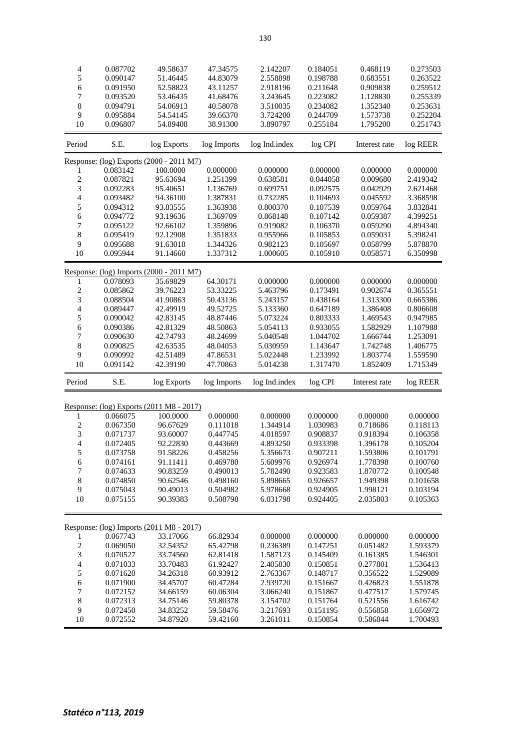| 4                        | 0.087702             | 49.58637                                 | 47.34575             | 2.142207             | 0.184051             | 0.468119             | 0.273503             |
|--------------------------|----------------------|------------------------------------------|----------------------|----------------------|----------------------|----------------------|----------------------|
| 5                        | 0.090147             | 51.46445                                 | 44.83079             | 2.558898             | 0.198788             | 0.683551             | 0.263522             |
| 6                        | 0.091950             | 52.58823                                 | 43.11257             | 2.918196             | 0.211648             | 0.909838             | 0.259512             |
| 7                        | 0.093520             | 53.46435                                 | 41.68476             | 3.243645             | 0.223082             | 1.128830             | 0.255339             |
|                          |                      |                                          |                      |                      |                      |                      |                      |
| 8                        | 0.094791             | 54.06913                                 | 40.58078             | 3.510035             | 0.234082             | 1.352340             | 0.253631             |
| 9                        | 0.095884             | 54.54145                                 | 39.66370             | 3.724200             | 0.244709             | 1.573738             | 0.252204             |
| 10                       | 0.096807             | 54.89408                                 | 38.91300             | 3.890797             | 0.255184             | 1.795200             | 0.251743             |
| Period                   | S.E.                 | log Exports                              | log Imports          | log Ind.index        | log CPI              | Interest rate        | log REER             |
|                          |                      | Response: (log) Exports (2000 - 2011 M7) |                      |                      |                      |                      |                      |
| 1                        | 0.083142             | 100.0000                                 | 0.000000             | 0.000000             | 0.000000             | 0.000000             | 0.000000             |
| $\overline{c}$           | 0.087821             | 95.63694                                 | 1.251399             | 0.638581             | 0.044058             | 0.009680             | 2.419342             |
|                          |                      |                                          |                      |                      |                      |                      |                      |
| 3                        | 0.092283             | 95.40651                                 | 1.136769             | 0.699751             | 0.092575             | 0.042929             | 2.621468             |
| 4                        | 0.093482             | 94.36100                                 | 1.387831             | 0.732285             | 0.104693             | 0.045592             | 3.368598             |
| 5                        | 0.094312             | 93.83555                                 | 1.363938             | 0.800370             | 0.107539             | 0.059764             | 3.832841             |
| 6                        | 0.094772             | 93.19636                                 | 1.369709             | 0.868148             | 0.107142             | 0.059387             | 4.399251             |
| 7                        | 0.095122             | 92.66102                                 | 1.359896             | 0.919082             | 0.106370             | 0.059290             | 4.894340             |
| 8                        | 0.095419             | 92.12908                                 | 1.351833             | 0.955966             | 0.105853             | 0.059031             | 5.398241             |
|                          |                      |                                          |                      |                      |                      |                      |                      |
| 9                        | 0.095688             | 91.63018                                 | 1.344326             | 0.982123             | 0.105697             | 0.058799             | 5.878870             |
| 10                       | 0.095944             | 91.14660                                 | 1.337312             | 1.000605             | 0.105910             | 0.058571             | 6.350998             |
|                          |                      | Response: (log) Imports (2000 - 2011 M7) |                      |                      |                      |                      |                      |
| 1                        | 0.078093             | 35.69829                                 | 64.30171             | 0.000000             | 0.000000             | 0.000000             | 0.000000             |
|                          |                      |                                          |                      |                      |                      |                      |                      |
| $\overline{c}$           | 0.085862             | 39.76223                                 | 53.33225             | 5.463796             | 0.173491             | 0.902674             | 0.365551             |
| 3                        | 0.088504             | 41.90863                                 | 50.43136             | 5.243157             | 0.438164             | 1.313300             | 0.665386             |
| $\overline{\mathcal{L}}$ | 0.089447             | 42.49919                                 | 49.52725             | 5.133360             | 0.647189             | 1.386408             | 0.806608             |
| 5                        | 0.090042             | 42.83145                                 | 48.87446             | 5.073224             | 0.803333             | 1.469543             | 0.947985             |
| 6                        | 0.090386             | 42.81329                                 | 48.50863             | 5.054113             | 0.933055             | 1.582929             | 1.107988             |
| 7                        | 0.090630             | 42.74793                                 | 48.24699             | 5.040548             | 1.044702             | 1.666744             | 1.253091             |
| 8                        | 0.090825             | 42.63535                                 | 48.04053             | 5.030959             | 1.143647             | 1.742748             | 1.406775             |
|                          |                      |                                          |                      |                      |                      |                      |                      |
| 9                        | 0.090992             | 42.51489                                 | 47.86531             | 5.022448             | 1.233992             | 1.803774             | 1.559590             |
| 10                       | 0.091142             | 42.39190                                 | 47.70863             | 5.014238             | 1.317470             | 1.852409             | 1.715349             |
| Period                   | S.E.                 | log Exports                              | log Imports          | log Ind.index        | log CPI              | Interest rate        | log REER             |
|                          |                      |                                          |                      |                      |                      |                      |                      |
|                          |                      | Response: (log) Exports (2011 M8 - 2017) |                      |                      |                      |                      |                      |
| 1                        | 0.066075             | 100.0000                                 | 0.000000             | 0.000000             | 0.000000             | 0.000000             | 0.000000             |
| $\overline{c}$           | 0.067350             | 96.67629                                 | 0.111018             | 1.344914             | 1.030983             | 0.718686             | 0.118113             |
| 3                        | 0.071737             | 93.60007                                 | 0.447745             | 4.018597             | 0.908837             | 0.918394             | 0.106358             |
| 4                        | 0.072405             | 92.22830                                 | 0.443669             | 4.893250             | 0.933398             | 1.396178             | 0.105204             |
| 5                        | 0.073758             | 91.58226                                 | 0.458256             | 5.356673             | 0.907211             | 1.593806             | 0.101791             |
|                          |                      |                                          |                      |                      |                      |                      |                      |
| 6                        | 0.074161             | 91.11411                                 | 0.469780             | 5.609976             | 0.926974             | 1.778398             | 0.100760             |
| 7                        | 0.074633             | 90.83259                                 | 0.490013             | 5.782490             | 0.923583             | 1.870772             | 0.100548             |
| $\,$ 8 $\,$              | 0.074850             | 90.62546                                 | 0.498160             | 5.898665             | 0.926657             | 1.949398             | 0.101658             |
| 9                        | 0.075043             | 90.49013                                 | 0.504982             | 5.978668             | 0.924905             | 1.998121             | 0.103194             |
| 10                       | 0.075155             | 90.39383                                 | 0.508798             | 6.031798             | 0.924405             | 2.035803             | 0.105363             |
|                          |                      |                                          |                      |                      |                      |                      |                      |
|                          |                      | Response: (log) Imports (2011 M8 - 2017) |                      |                      |                      |                      |                      |
|                          |                      |                                          |                      |                      |                      |                      |                      |
| 1                        | 0.067743             | 33.17066                                 | 66.82934             | 0.000000             | 0.000000             | 0.000000             | 0.000000             |
| $\overline{\mathbf{c}}$  | 0.069050             | 32.54352                                 | 65.42798             | 0.236389             | 0.147251             | 0.051482             | 1.593379             |
| 3                        | 0.070527             | 33.74560                                 | 62.81418             | 1.587123             | 0.145409             | 0.161385             | 1.546301             |
| $\overline{\mathcal{L}}$ |                      |                                          |                      | 2.405830             | 0.150851             | 0.277801             | 1.536413             |
|                          | 0.071033             | 33.70483                                 | 61.92427             |                      |                      |                      |                      |
|                          | 0.071620             | 34.26318                                 | 60.93912             | 2.763367             | 0.148717             | 0.356522             | 1.529089             |
| 5                        |                      |                                          |                      |                      |                      |                      |                      |
| 6                        | 0.071900             | 34.45707                                 | 60.47284             | 2.939720             | 0.151667             | 0.426823             | 1.551878             |
| 7                        | 0.072152             | 34.66159                                 | 60.06304             | 3.066240             | 0.151867             | 0.477517             | 1.579745             |
| $\,$ 8 $\,$              | 0.072313             | 34.75146                                 | 59.80378             | 3.154702             | 0.151764             | 0.521556             | 1.616742             |
| 9<br>10                  | 0.072450<br>0.072552 | 34.83252<br>34.87920                     | 59.58476<br>59.42160 | 3.217693<br>3.261011 | 0.151195<br>0.150854 | 0.556858<br>0.586844 | 1.656972<br>1.700493 |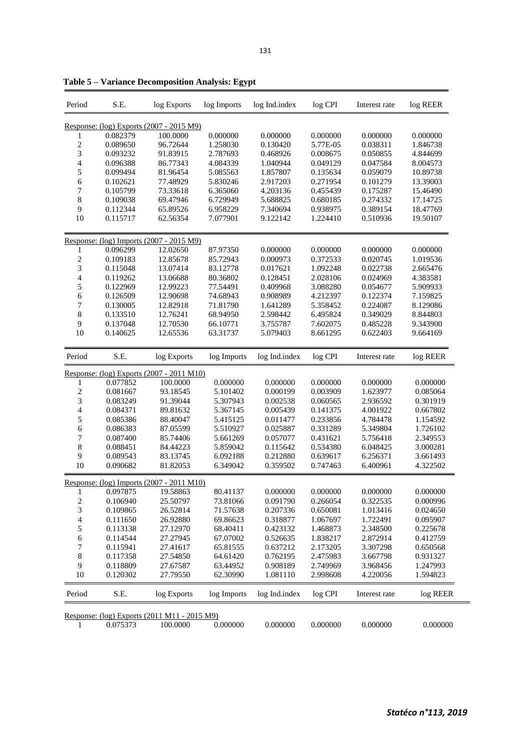| Period           | S.E.     | log Exports                                       | log Imports | log Ind.index | log CPI  | Interest rate | log REER |
|------------------|----------|---------------------------------------------------|-------------|---------------|----------|---------------|----------|
|                  |          | Response: (log) Exports (2007 - 2015 M9)          |             |               |          |               |          |
| 1                | 0.082379 | 100.0000                                          | 0.000000    | 0.000000      | 0.000000 | 0.000000      | 0.000000 |
| 2                | 0.089650 | 96.72644                                          | 1.258030    | 0.130420      | 5.77E-05 | 0.038311      | 1.846738 |
| 3                | 0.093232 | 91.83915                                          | 2.787693    | 0.468926      | 0.008675 | 0.050855      | 4.844699 |
| 4                | 0.096388 | 86.77343                                          | 4.084339    | 1.040944      | 0.049129 | 0.047584      | 8.004573 |
| 5                | 0.099494 | 81.96454                                          | 5.085563    | 1.857807      | 0.135634 | 0.059079      | 10.89738 |
|                  | 0.102621 | 77.48929                                          | 5.830246    | 2.917203      | 0.271954 | 0.101279      | 13.39003 |
| 6                |          |                                                   |             |               |          |               |          |
| 7                | 0.105799 | 73.33618                                          | 6.365060    | 4.203136      | 0.455439 | 0.175287      | 15.46490 |
| 8                | 0.109038 | 69.47946                                          | 6.729949    | 5.688825      | 0.680185 | 0.274332      | 17.14725 |
| 9                | 0.112344 | 65.89526                                          | 6.958229    | 7.340694      | 0.938975 | 0.389154      | 18.47769 |
| 10               | 0.115717 | 62.56354                                          | 7.077901    | 9.122142      | 1.224410 | 0.510936      | 19.50107 |
|                  |          | Response: (log) Imports (2007 - 2015 M9)          |             |               |          |               |          |
| 1                | 0.096299 | 12.02650                                          | 87.97350    | 0.000000      | 0.000000 | 0.000000      | 0.000000 |
| $\overline{c}$   | 0.109183 | 12.85678                                          | 85.72943    | 0.000973      | 0.372533 | 0.020745      | 1.019536 |
| 3                | 0.115048 | 13.07414                                          | 83.12778    | 0.017621      | 1.092248 | 0.022738      | 2.665476 |
| 4                | 0.119262 | 13.06688                                          | 80.36802    | 0.128451      | 2.028106 | 0.024969      | 4.383581 |
| 5                | 0.122969 | 12.99223                                          | 77.54491    | 0.409968      | 3.088280 | 0.054677      | 5.909933 |
| 6                | 0.126509 | 12.90698                                          | 74.68943    | 0.908989      | 4.212397 | 0.122374      | 7.159825 |
| 7                | 0.130005 | 12.82918                                          | 71.81790    | 1.641289      | 5.358452 | 0.224087      | 8.129086 |
| 8                | 0.133510 | 12.76241                                          | 68.94950    | 2.598442      | 6.495824 | 0.349029      | 8.844803 |
| 9                | 0.137048 | 12.70530                                          | 66.10771    | 3.755787      | 7.602075 | 0.485228      | 9.343900 |
| 10               |          |                                                   |             |               |          |               |          |
|                  | 0.140625 | 12.65536                                          | 63.31737    | 5.079403      | 8.661295 | 0.622403      | 9.664169 |
| Period           | S.E.     | log Exports                                       | log Imports | log Ind.index | log CPI  | Interest rate | log REER |
|                  |          | <u> Response: (log) Exports (2007 - 2011 M10)</u> |             |               |          |               |          |
| 1                | 0.077852 | 100.0000                                          | 0.000000    | 0.000000      | 0.000000 | 0.000000      | 0.000000 |
| $\boldsymbol{2}$ | 0.081667 | 93.18545                                          | 5.101402    | 0.000199      | 0.003909 | 1.623977      | 0.085064 |
| 3                | 0.083249 | 91.39044                                          | 5.307943    | 0.002538      | 0.060565 | 2.936592      | 0.301919 |
| 4                | 0.084371 | 89.81632                                          | 5.367145    | 0.005439      | 0.141375 | 4.001922      | 0.667802 |
| 5                | 0.085386 | 88.40047                                          | 5.415125    | 0.011477      | 0.233856 | 4.784478      | 1.154592 |
| 6                | 0.086383 | 87.05599                                          | 5.510927    | 0.025887      | 0.331289 | 5.349804      | 1.726102 |
| 7                | 0.087400 | 85.74406                                          | 5.661269    | 0.057077      | 0.431621 | 5.756418      | 2.349553 |
| 8                | 0.088451 | 84.44223                                          | 5.859042    | 0.115642      | 0.534380 | 6.048425      | 3.000281 |
| 9                | 0.089543 | 83.13745                                          | 6.092188    | 0.212880      | 0.639617 | 6.256371      | 3.661493 |
| 10               | 0.090682 | 81.82053                                          | 6.349042    | 0.359502      | 0.747463 | 6.400961      | 4.322502 |
|                  |          | Response: (log) Imports (2007 - 2011 M10)         |             |               |          |               |          |
| 1                | 0.097875 | 19.58863                                          | 80.41137    | 0.000000      | 0.000000 | 0.000000      | 0.000000 |
| 2                | 0.106940 | 25.50797                                          | 73.81066    | 0.091790      | 0.266054 | 0.322535      | 0.000996 |
| 3                | 0.109865 | 26.52814                                          | 71.57638    | 0.207336      | 0.650081 | 1.013416      | 0.024650 |
| 4                | 0.111650 | 26.92880                                          | 69.86623    | 0.318877      | 1.067697 | 1.722491      | 0.095907 |
| 5                | 0.113138 | 27.12970                                          | 68.40411    | 0.423132      | 1.468873 | 2.348500      | 0.225678 |
| 6                | 0.114544 | 27.27945                                          | 67.07002    | 0.526635      | 1.838217 | 2.872914      | 0.412759 |
| 7                | 0.115941 | 27.41617                                          | 65.81555    | 0.637212      | 2.173205 | 3.307298      | 0.650568 |
| 8                | 0.117358 | 27.54850                                          | 64.61420    | 0.762195      | 2.475983 | 3.667798      | 0.931327 |
| 9                | 0.118809 | 27.67587                                          | 63.44952    | 0.908189      | 2.749969 | 3.968456      | 1.247993 |
| 10               | 0.120302 | 27.79550                                          | 62.30990    | 1.081110      | 2.998608 | 4.220056      | 1.594823 |
| Period           | S.E.     | log Exports                                       | log Imports | log Ind.index | log CPI  | Interest rate | log REER |
|                  |          | Response: (log) Exports (2011 M11 - 2015 M9)      |             |               |          |               |          |
| 1                | 0.075373 | 100.0000                                          | 0.000000    | 0.000000      | 0.000000 | 0.000000      | 0.000000 |

**Table 5 – Variance Decomposition Analysis: Egypt**

j.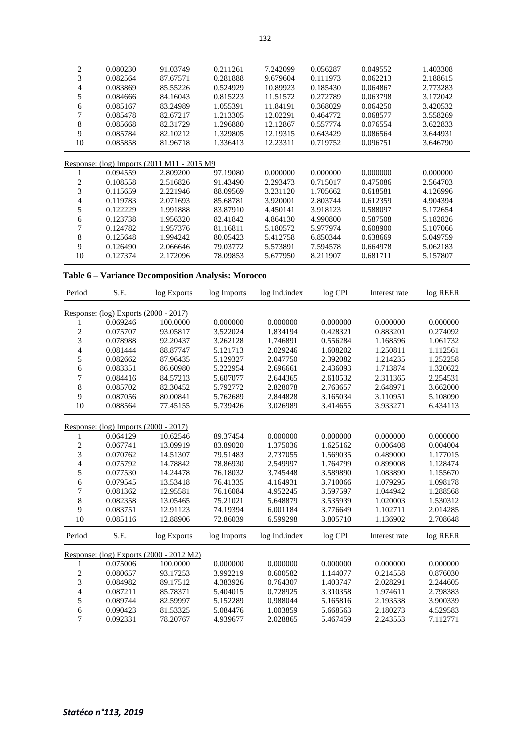| 2       | 0.080230                                    | 91.03749 | 0.211261 | 7.242099 | 0.056287 | 0.049552 | 1.403308 |
|---------|---------------------------------------------|----------|----------|----------|----------|----------|----------|
| 3       | 0.082564                                    | 87.67571 | 0.281888 | 9.679604 | 0.111973 | 0.062213 | 2.188615 |
| 4       | 0.083869                                    | 85.55226 | 0.524929 | 10.89923 | 0.185430 | 0.064867 | 2.773283 |
| 5       | 0.084666                                    | 84.16043 | 0.815223 | 11.51572 | 0.272789 | 0.063798 | 3.172042 |
| 6       | 0.085167                                    | 83.24989 | 1.055391 | 11.84191 | 0.368029 | 0.064250 | 3.420532 |
| 7       | 0.085478                                    | 82.67217 | 1.213305 | 12.02291 | 0.464772 | 0.068577 | 3.558269 |
| 8       | 0.085668                                    | 82.31729 | 1.296880 | 12.12867 | 0.557774 | 0.076554 | 3.622833 |
| 9       | 0.085784                                    | 82.10212 | 1.329805 | 12.19315 | 0.643429 | 0.086564 | 3.644931 |
| 10      | 0.085858                                    | 81.96718 | 1.336413 | 12.23311 | 0.719752 | 0.096751 | 3.646790 |
|         |                                             |          |          |          |          |          |          |
|         | Response: (log) Imports (2011 M11 - 2015 M9 |          |          |          |          |          |          |
|         | 0.094559                                    | 2.809200 | 97.19080 | 0.000000 | 0.000000 | 0.000000 | 0.000000 |
| 2       | 0.108558                                    | 2.516826 | 91.43490 | 2.293473 | 0.715017 | 0.475086 | 2.564703 |
| 3       | 0.115659                                    | 2.221946 | 88.09569 | 3.231120 | 1.705662 | 0.618581 | 4.126996 |
| 4       | 0.119783                                    | 2.071693 | 85.68781 | 3.920001 | 2.803744 | 0.612359 | 4.904394 |
| 5       | 0.122229                                    | 1.991888 | 83.87910 | 4.450141 | 3.918123 | 0.588097 | 5.172654 |
| 6       | 0.123738                                    | 1.956320 | 82.41842 | 4.864130 | 4.990800 | 0.587508 | 5.182826 |
|         | 0.124782                                    | 1.957376 | 81.16811 | 5.180572 | 5.977974 | 0.608900 | 5.107066 |
| 8       | 0.125648                                    | 1.994242 | 80.05423 | 5.412758 | 6.850344 | 0.638669 | 5.049759 |
| 9<br>10 | 0.126490                                    | 2.066646 | 79.03772 | 5.573891 | 7.594578 | 0.664978 | 5.062183 |

|  | Table 6 - Variance Decomposition Analysis: Morocco |  |  |  |  |
|--|----------------------------------------------------|--|--|--|--|
|--|----------------------------------------------------|--|--|--|--|

| Period                                | S.E.                                  | log Exports                              | log Imports | log Ind.index | log CPI  | Interest rate | log REER |
|---------------------------------------|---------------------------------------|------------------------------------------|-------------|---------------|----------|---------------|----------|
| Response: (log) Exports (2000 - 2017) |                                       |                                          |             |               |          |               |          |
| ı                                     | 0.069246                              | 100.0000                                 | 0.000000    | 0.000000      | 0.000000 | 0.000000      | 0.000000 |
| $\overline{c}$                        | 0.075707                              | 93.05817                                 | 3.522024    | 1.834194      | 0.428321 | 0.883201      | 0.274092 |
| 3                                     | 0.078988                              | 92.20437                                 | 3.262128    | 1.746891      | 0.556284 | 1.168596      | 1.061732 |
| $\overline{4}$                        | 0.081444                              | 88.87747                                 | 5.121713    | 2.029246      | 1.608202 | 1.250811      | 1.112561 |
| 5                                     | 0.082662                              | 87.96435                                 | 5.129327    | 2.047750      | 2.392082 | 1.214235      | 1.252258 |
| 6                                     | 0.083351                              | 86.60980                                 | 5.222954    | 2.696661      | 2.436093 | 1.713874      | 1.320622 |
| 7                                     | 0.084416                              | 84.57213                                 | 5.607077    | 2.644365      | 2.610532 | 2.311365      | 2.254531 |
| $\,8\,$                               | 0.085702                              | 82.30452                                 | 5.792772    | 2.828078      | 2.763657 | 2.648971      | 3.662000 |
| 9                                     | 0.087056                              | 80.00841                                 | 5.762689    | 2.844828      | 3.165034 | 3.110951      | 5.108090 |
| 10                                    | 0.088564                              | 77.45155                                 | 5.739426    | 3.026989      | 3.414655 | 3.933271      | 6.434113 |
|                                       | Response: (log) Imports (2000 - 2017) |                                          |             |               |          |               |          |
| 1                                     | 0.064129                              | 10.62546                                 | 89.37454    | 0.000000      | 0.000000 | 0.000000      | 0.000000 |
| $\overline{c}$                        | 0.067741                              | 13.09919                                 | 83.89020    | 1.375036      | 1.625162 | 0.006408      | 0.004004 |
| 3                                     | 0.070762                              | 14.51307                                 | 79.51483    | 2.737055      | 1.569035 | 0.489000      | 1.177015 |
| $\overline{4}$                        | 0.075792                              | 14.78842                                 | 78.86930    | 2.549997      | 1.764799 | 0.899008      | 1.128474 |
| 5                                     | 0.077530                              | 14.24478                                 | 76.18032    | 3.745448      | 3.589890 | 1.083890      | 1.155670 |
| 6                                     | 0.079545                              | 13.53418                                 | 76.41335    | 4.164931      | 3.710066 | 1.079295      | 1.098178 |
| 7                                     | 0.081362                              | 12.95581                                 | 76.16084    | 4.952245      | 3.597597 | 1.044942      | 1.288568 |
| $\,$ 8 $\,$                           | 0.082358                              | 13.05465                                 | 75.21021    | 5.648879      | 3.535939 | 1.020003      | 1.530312 |
| 9                                     | 0.083751                              | 12.91123                                 | 74.19394    | 6.001184      | 3.776649 | 1.102711      | 2.014285 |
| 10                                    | 0.085116                              | 12.88906                                 | 72.86039    | 6.599298      | 3.805710 | 1.136902      | 2.708648 |
| Period                                | S.E.                                  | log Exports                              | log Imports | log Ind.index | log CPI  | Interest rate | log REER |
|                                       |                                       | Response: (log) Exports (2000 - 2012 M2) |             |               |          |               |          |
| 1                                     | 0.075006                              | 100.0000                                 | 0.000000    | 0.000000      | 0.000000 | 0.000000      | 0.000000 |
| 2                                     | 0.080657                              | 93.17253                                 | 3.992219    | 0.600582      | 1.144077 | 0.214558      | 0.876030 |
| 3                                     | 0.084982                              | 89.17512                                 | 4.383926    | 0.764307      | 1.403747 | 2.028291      | 2.244605 |
| $\overline{4}$                        | 0.087211                              | 85.78371                                 | 5.404015    | 0.728925      | 3.310358 | 1.974611      | 2.798383 |
| 5                                     | 0.089744                              | 82.59997                                 | 5.152289    | 0.988044      | 5.165816 | 2.193538      | 3.900339 |
| 6                                     | 0.090423                              | 81.53325                                 | 5.084476    | 1.003859      | 5.668563 | 2.180273      | 4.529583 |
| 7                                     | 0.092331                              | 78.20767                                 | 4.939677    | 2.028865      | 5.467459 | 2.243553      | 7.112771 |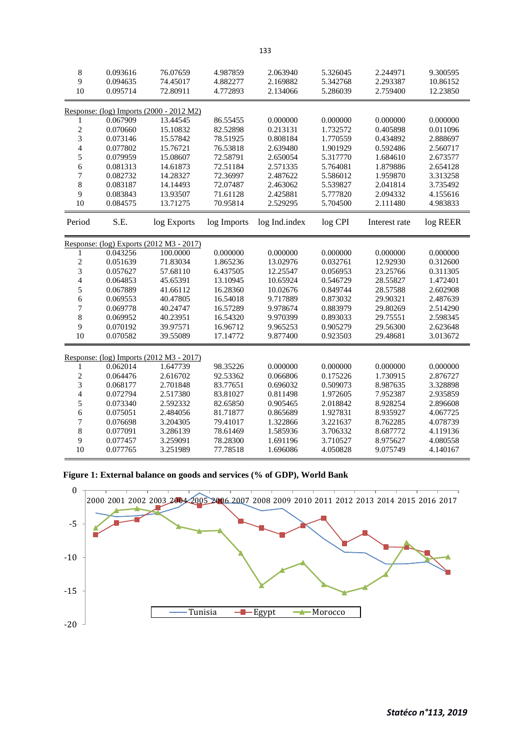| 8<br>9<br>10             | 0.093616<br>0.094635 | 76.07659<br>74.45017<br>72.80911         | 4.987859<br>4.882277 | 2.063940<br>2.169882 | 5.326045<br>5.342768 | 2.244971<br>2.293387 | 9.300595<br>10.86152 |
|--------------------------|----------------------|------------------------------------------|----------------------|----------------------|----------------------|----------------------|----------------------|
|                          | 0.095714             |                                          | 4.772893             | 2.134066             | 5.286039             | 2.759400             | 12.23850             |
|                          |                      | Response: (log) Imports (2000 - 2012 M2) |                      |                      |                      |                      |                      |
| 1                        | 0.067909             | 13.44545                                 | 86.55455             | 0.000000             | 0.000000             | 0.000000             | 0.000000             |
| $\sqrt{2}$               | 0.070660             | 15.10832                                 | 82.52898             | 0.213131             | 1.732572             | 0.405898             | 0.011096             |
| $\overline{3}$           | 0.073146             | 15.57842                                 | 78.51925             | 0.808184             | 1.770559             | 0.434892             | 2.888697             |
| $\overline{4}$           | 0.077802             | 15.76721                                 | 76.53818             | 2.639480             | 1.901929             | 0.592486             | 2.560717             |
| 5                        | 0.079959             | 15.08607                                 | 72.58791             | 2.650054             | 5.317770             | 1.684610             | 2.673577             |
| 6                        | 0.081313             | 14.61873                                 | 72.51184             | 2.571335             | 5.764081             | 1.879886             | 2.654128             |
| 7                        | 0.082732             | 14.28327                                 | 72.36997             | 2.487622             | 5.586012             | 1.959870             | 3.313258             |
| 8                        | 0.083187             | 14.14493                                 | 72.07487             | 2.463062             | 5.539827             | 2.041814             | 3.735492             |
| 9                        | 0.083843             | 13.93507                                 | 71.61128             | 2.425881             | 5.777820             | 2.094332             | 4.155616             |
| 10                       | 0.084575             | 13.71275                                 | 70.95814             | 2.529295             | 5.704500             | 2.111480             | 4.983833             |
| Period                   | S.E.                 | log Exports                              | log Imports          | log Ind.index        | log CPI              | Interest rate        | log REER             |
|                          |                      | Response: (log) Exports (2012 M3 - 2017) |                      |                      |                      |                      |                      |
| 1                        | 0.043256             | 100.0000                                 | 0.000000             | 0.000000             | 0.000000             | 0.000000             | 0.000000             |
| $\overline{c}$           | 0.051639             | 71.83034                                 | 1.865236             | 13.02976             | 0.032761             | 12.92930             | 0.312600             |
| 3                        | 0.057627             | 57.68110                                 | 6.437505             | 12.25547             | 0.056953             | 23.25766             | 0.311305             |
| $\overline{\mathcal{L}}$ | 0.064853             | 45.65391                                 | 13.10945             | 10.65924             | 0.546729             | 28.55827             | 1.472401             |
| 5                        | 0.067889             | 41.66112                                 | 16.28360             | 10.02676             | 0.849744             | 28.57588             | 2.602908             |
| 6                        | 0.069553             | 40.47805                                 | 16.54018             | 9.717889             | 0.873032             | 29.90321             | 2.487639             |
| 7                        | 0.069778             | 40.24747                                 | 16.57289             | 9.978674             | 0.883979             | 29.80269             | 2.514290             |
| 8                        | 0.069952             | 40.23951                                 | 16.54320             | 9.970399             | 0.893033             | 29.75551             | 2.598345             |
| 9                        | 0.070192             | 39.97571                                 | 16.96712             | 9.965253             | 0.905279             | 29.56300             | 2.623648             |
| 10                       | 0.070582             | 39.55089                                 | 17.14772             | 9.877400             | 0.923503             | 29.48681             | 3.013672             |
|                          |                      | Response: (log) Imports (2012 M3 - 2017) |                      |                      |                      |                      |                      |
| 1                        | 0.062014             | 1.647739                                 | 98.35226             | 0.000000             | 0.000000             | 0.000000             | 0.000000             |
| $\overline{c}$           | 0.064476             | 2.616702                                 | 92.53362             | 0.066806             | 0.175226             | 1.730915             | 2.876727             |
| 3                        | 0.068177             | 2.701848                                 | 83.77651             | 0.696032             | 0.509073             | 8.987635             | 3.328898             |
| $\overline{4}$           | 0.072794             | 2.517380                                 | 83.81027             | 0.811498             | 1.972605             | 7.952387             | 2.935859             |
| 5                        | 0.073340             | 2.592332                                 | 82.65850             | 0.905465             | 2.018842             | 8.928254             | 2.896608             |
| 6                        | 0.075051             | 2.484056                                 | 81.71877             | 0.865689             | 1.927831             | 8.935927             | 4.067725             |
| $\overline{7}$           | 0.076698             | 3.204305                                 | 79.41017             | 1.322866             | 3.221637             | 8.762285             | 4.078739             |
| 8                        | 0.077091             | 3.286139                                 | 78.61469             | 1.585936             | 3.706332             | 8.687772             | 4.119136             |
| 9                        | 0.077457             | 3.259091                                 | 78.28300             | 1.691196             | 3.710527             | 8.975627             | 4.080558             |
| 10                       | 0.077765             | 3.251989                                 | 77.78518             | 1.696086             | 4.050828             | 9.075749             | 4.140167             |



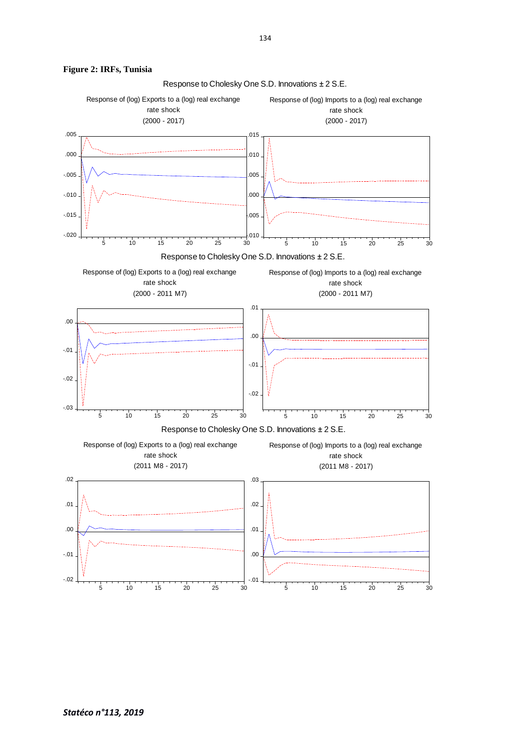

#### **Figure 2: IRFs, Tunisia**

Response to Cholesky One S.D. Innovations ± 2 S.E.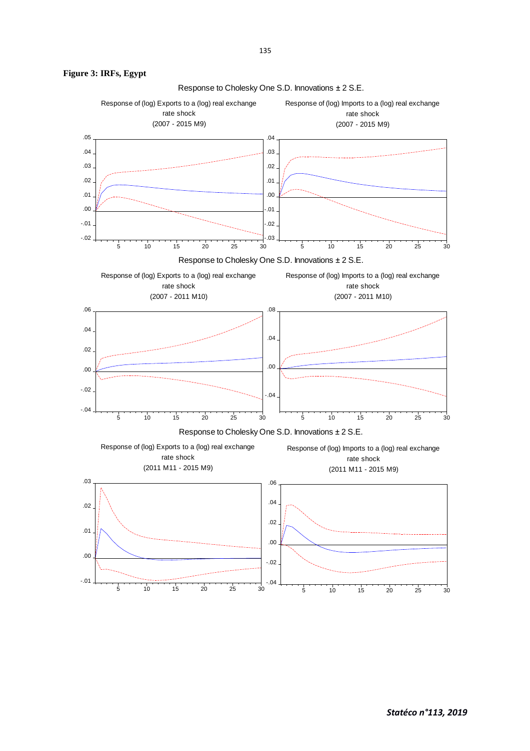